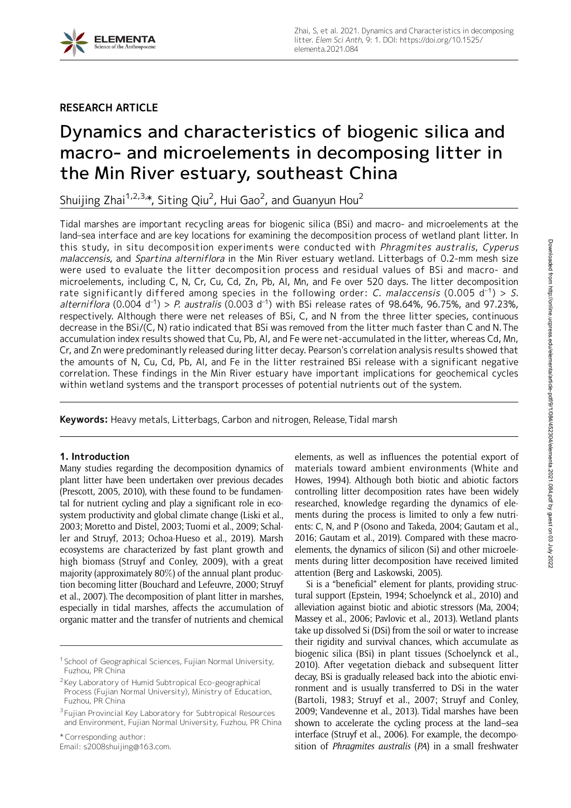

# RESEARCH ARTICLE

# Dynamics and characteristics of biogenic silica and macro- and microelements in decomposing litter in the Min River estuary, southeast China

Shuijing Zhai $^{1,2,3,*}$ , Siting Qiu $^2$ , Hui Gao $^2$ , and Guanyun Hou $^2$ 

Tidal marshes are important recycling areas for biogenic silica (BSi) and macro- and microelements at the land–sea interface and are key locations for examining the decomposition process of wetland plant litter. In this study, in situ decomposition experiments were conducted with Phragmites australis, Cyperus malaccensis, and Spartina alterniflora in the Min River estuary wetland. Litterbags of 0.2-mm mesh size were used to evaluate the litter decomposition process and residual values of BSi and macro- and microelements, including C, N, Cr, Cu, Cd, Zn, Pb, Al, Mn, and Fe over 520 days. The litter decomposition rate significantly differed among species in the following order: C. malaccensis (0.005 d<sup>-1</sup>) > S. alterniflora (0.004 d<sup>-1</sup>) > P. australis (0.003 d<sup>-1</sup>) with BSi release rates of 98.64%, 96.75%, and 97.23%, respectively. Although there were net releases of BSi, C, and N from the three litter species, continuous decrease in the BSi/(C, N) ratio indicated that BSi was removed from the litter much faster than C and N. The accumulation index results showed that Cu, Pb, Al, and Fe were net-accumulated in the litter, whereas Cd, Mn, Cr, and Zn were predominantly released during litter decay. Pearson's correlation analysis results showed that the amounts of N, Cu, Cd, Pb, Al, and Fe in the litter restrained BSi release with a significant negative correlation. These findings in the Min River estuary have important implications for geochemical cycles within wetland systems and the transport processes of potential nutrients out of the system.

Keywords: Heavy metals, Litterbags, Carbon and nitrogen, Release, Tidal marsh

## 1. Introduction

Many studies regarding the decomposition dynamics of plant litter have been undertaken over previous decades (Prescott, 2005, 2010), with these found to be fundamental for nutrient cycling and play a significant role in ecosystem productivity and global climate change (Liski et al., 2003; Moretto and Distel, 2003; Tuomi et al., 2009; Schaller and Struyf, 2013; Ochoa-Hueso et al., 2019). Marsh ecosystems are characterized by fast plant growth and high biomass (Struyf and Conley, 2009), with a great majority (approximately 80%) of the annual plant production becoming litter (Bouchard and Lefeuvre, 2000; Struyf et al., 2007). The decomposition of plant litter in marshes, especially in tidal marshes, affects the accumulation of organic matter and the transfer of nutrients and chemical

\* Corresponding author:

Email: s2008shuijing@163.com.

elements, as well as influences the potential export of materials toward ambient environments (White and Howes, 1994). Although both biotic and abiotic factors controlling litter decomposition rates have been widely researched, knowledge regarding the dynamics of elements during the process is limited to only a few nutrients: C, N, and P (Osono and Takeda, 2004; Gautam et al., 2016; Gautam et al., 2019). Compared with these macroelements, the dynamics of silicon (Si) and other microelements during litter decomposition have received limited attention (Berg and Laskowski, 2005).

Si is a "beneficial" element for plants, providing structural support (Epstein, 1994; Schoelynck et al., 2010) and alleviation against biotic and abiotic stressors (Ma, 2004; Massey et al., 2006; Pavlovic et al., 2013). Wetland plants take up dissolved Si (DSi) from the soil or water to increase their rigidity and survival chances, which accumulate as biogenic silica (BSi) in plant tissues (Schoelynck et al., 2010). After vegetation dieback and subsequent litter decay, BSi is gradually released back into the abiotic environment and is usually transferred to DSi in the water (Bartoli, 1983; Struyf et al., 2007; Struyf and Conley, 2009; Vandevenne et al., 2013). Tidal marshes have been shown to accelerate the cycling process at the land–sea interface (Struyf et al., 2006). For example, the decomposition of Phragmites australis (PA) in a small freshwater

<sup>&</sup>lt;sup>1</sup> School of Geographical Sciences, Fujian Normal University, Fuzhou, PR China

<sup>&</sup>lt;sup>2</sup> Key Laboratory of Humid Subtropical Eco-geographical Process (Fujian Normal University), Ministry of Education, Fuzhou, PR China

<sup>&</sup>lt;sup>3</sup> Fujian Provincial Key Laboratory for Subtropical Resources and Environment, Fujian Normal University, Fuzhou, PR China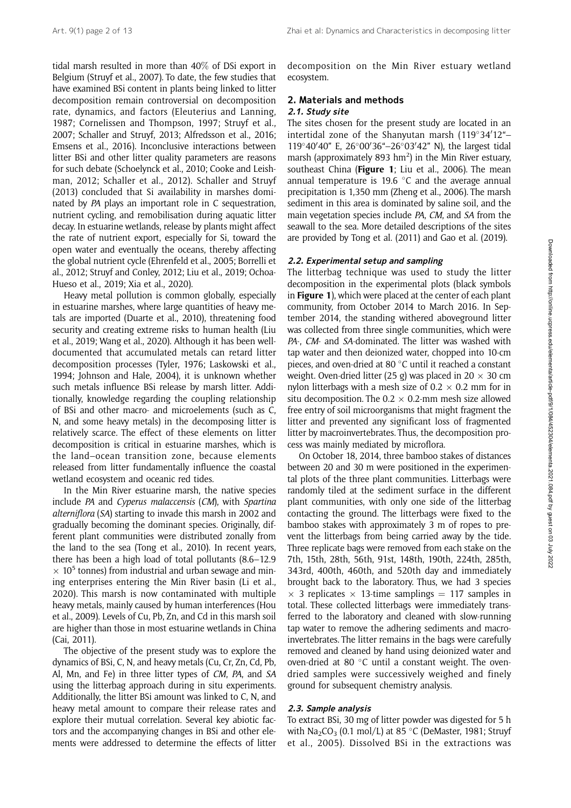tidal marsh resulted in more than 40% of DSi export in Belgium (Struyf et al., 2007). To date, the few studies that have examined BSi content in plants being linked to litter decomposition remain controversial on decomposition rate, dynamics, and factors (Eleuterius and Lanning, 1987; Cornelissen and Thompson, 1997; Struyf et al., 2007; Schaller and Struyf, 2013; Alfredsson et al., 2016; Emsens et al., 2016). Inconclusive interactions between litter BSi and other litter quality parameters are reasons for such debate (Schoelynck et al., 2010; Cooke and Leishman, 2012; Schaller et al., 2012). Schaller and Struyf (2013) concluded that Si availability in marshes dominated by PA plays an important role in C sequestration, nutrient cycling, and remobilisation during aquatic litter decay. In estuarine wetlands, release by plants might affect the rate of nutrient export, especially for Si, toward the open water and eventually the oceans, thereby affecting the global nutrient cycle (Ehrenfeld et al., 2005; Borrelli et al., 2012; Struyf and Conley, 2012; Liu et al., 2019; Ochoa-Hueso et al., 2019; Xia et al., 2020).

Heavy metal pollution is common globally, especially in estuarine marshes, where large quantities of heavy metals are imported (Duarte et al., 2010), threatening food security and creating extreme risks to human health (Liu et al., 2019; Wang et al., 2020). Although it has been welldocumented that accumulated metals can retard litter decomposition processes (Tyler, 1976; Laskowski et al., 1994; Johnson and Hale, 2004), it is unknown whether such metals influence BSi release by marsh litter. Additionally, knowledge regarding the coupling relationship of BSi and other macro- and microelements (such as C, N, and some heavy metals) in the decomposing litter is relatively scarce. The effect of these elements on litter decomposition is critical in estuarine marshes, which is the land–ocean transition zone, because elements released from litter fundamentally influence the coastal wetland ecosystem and oceanic red tides.

In the Min River estuarine marsh, the native species include PA and Cyperus malaccensis (CM), with Spartina alterniflora (SA) starting to invade this marsh in 2002 and gradually becoming the dominant species. Originally, different plant communities were distributed zonally from the land to the sea (Tong et al., 2010). In recent years, there has been a high load of total pollutants (8.6–12.9  $\times$  10<sup>5</sup> tonnes) from industrial and urban sewage and mining enterprises entering the Min River basin (Li et al., 2020). This marsh is now contaminated with multiple heavy metals, mainly caused by human interferences (Hou et al., 2009). Levels of Cu, Pb, Zn, and Cd in this marsh soil are higher than those in most estuarine wetlands in China (Cai, 2011).

The objective of the present study was to explore the dynamics of BSi, C, N, and heavy metals (Cu, Cr, Zn, Cd, Pb, Al, Mn, and Fe) in three litter types of CM, PA, and SA using the litterbag approach during in situ experiments. Additionally, the litter BSi amount was linked to C, N, and heavy metal amount to compare their release rates and explore their mutual correlation. Several key abiotic factors and the accompanying changes in BSi and other elements were addressed to determine the effects of litter

decomposition on the Min River estuary wetland ecosystem.

## 2. Materials and methods 2.1. Study site

The sites chosen for the present study are located in an intertidal zone of the Shanyutan marsh  $(119°34'12'' -$ 119°40'40" E, 26°00'36"-26°03'42" N), the largest tidal marsh (approximately 893  $hm^2$ ) in the Min River estuary, southeast China (Figure 1; Liu et al., 2006). The mean annual temperature is 19.6  $\degree$ C and the average annual precipitation is 1,350 mm (Zheng et al., 2006). The marsh sediment in this area is dominated by saline soil, and the main vegetation species include PA, CM, and SA from the seawall to the sea. More detailed descriptions of the sites are provided by Tong et al. (2011) and Gao et al. (2019).

#### 2.2. Experimental setup and sampling

The litterbag technique was used to study the litter decomposition in the experimental plots (black symbols in **Figure 1**), which were placed at the center of each plant community, from October 2014 to March 2016. In September 2014, the standing withered aboveground litter was collected from three single communities, which were PA-, CM- and SA-dominated. The litter was washed with tap water and then deionized water, chopped into 10-cm pieces, and oven-dried at 80 $\degree$ C until it reached a constant weight. Oven-dried litter (25 g) was placed in 20  $\times$  30 cm nylon litterbags with a mesh size of 0.2  $\times$  0.2 mm for in situ decomposition. The 0.2  $\times$  0.2-mm mesh size allowed free entry of soil microorganisms that might fragment the litter and prevented any significant loss of fragmented litter by macroinvertebrates. Thus, the decomposition process was mainly mediated by microflora.

On October 18, 2014, three bamboo stakes of distances between 20 and 30 m were positioned in the experimental plots of the three plant communities. Litterbags were randomly tiled at the sediment surface in the different plant communities, with only one side of the litterbag contacting the ground. The litterbags were fixed to the bamboo stakes with approximately 3 m of ropes to prevent the litterbags from being carried away by the tide. Three replicate bags were removed from each stake on the 7th, 15th, 28th, 56th, 91st, 148th, 190th, 224th, 285th, 343rd, 400th, 460th, and 520th day and immediately brought back to the laboratory. Thus, we had 3 species  $\times$  3 replicates  $\times$  13-time samplings = 117 samples in total. These collected litterbags were immediately transferred to the laboratory and cleaned with slow-running tap water to remove the adhering sediments and macroinvertebrates. The litter remains in the bags were carefully removed and cleaned by hand using deionized water and oven-dried at 80 $\degree$ C until a constant weight. The ovendried samples were successively weighed and finely ground for subsequent chemistry analysis.

#### 2.3. Sample analysis

To extract BSi, 30 mg of litter powder was digested for 5 h with Na<sub>2</sub>CO<sub>3</sub> (0.1 mol/L) at 85 °C (DeMaster, 1981; Struyf et al., 2005). Dissolved BSi in the extractions was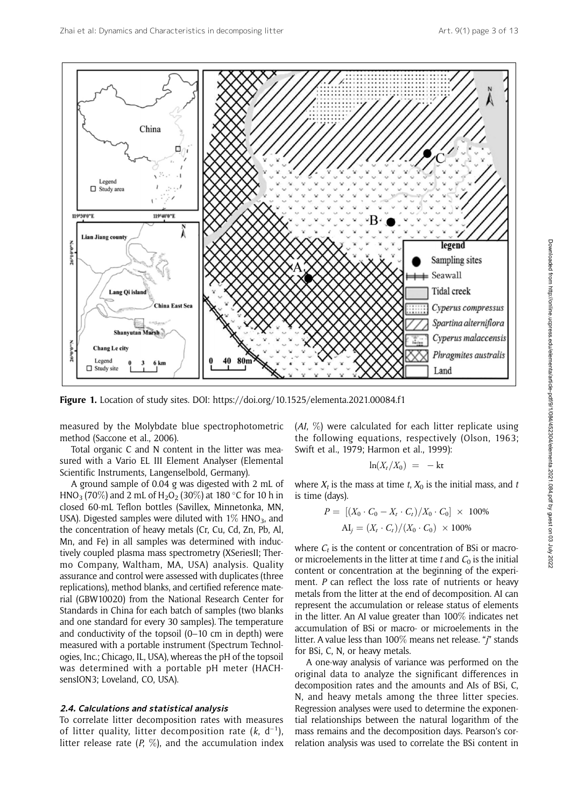

Figure 1. Location of study sites. DOI: https://doi.org/10.1525/elementa.2021.00084.f1

measured by the Molybdate blue spectrophotometric method (Saccone et al., 2006).

Total organic C and N content in the litter was measured with a Vario EL III Element Analyser (Elemental Scientific Instruments, Langenselbold, Germany).

A ground sample of 0.04 g was digested with 2 mL of HNO<sub>3</sub> (70%) and 2 mL of H<sub>2</sub>O<sub>2</sub> (30%) at 180 °C for 10 h in closed 60-mL Teflon bottles (Savillex, Minnetonka, MN, USA). Digested samples were diluted with  $1\%$  HNO<sub>3</sub>, and the concentration of heavy metals (Cr, Cu, Cd, Zn, Pb, Al, Mn, and Fe) in all samples was determined with inductively coupled plasma mass spectrometry (XSeriesII; Thermo Company, Waltham, MA, USA) analysis. Quality assurance and control were assessed with duplicates (three replications), method blanks, and certified reference material (GBW10020) from the National Research Center for Standards in China for each batch of samples (two blanks and one standard for every 30 samples). The temperature and conductivity of the topsoil (0–10 cm in depth) were measured with a portable instrument (Spectrum Technologies, Inc.; Chicago, IL, USA), whereas the pH of the topsoil was determined with a portable pH meter (HACHsensION3; Loveland, CO, USA).

#### 2.4. Calculations and statistical analysis

To correlate litter decomposition rates with measures of litter quality, litter decomposition rate  $(k, d^{-1})$ , litter release rate  $(P, \%)$ , and the accumulation index  $(AI, \%)$  were calculated for each litter replicate using the following equations, respectively (Olson, 1963; Swift et al., 1979; Harmon et al., 1999):

$$
\ln(X_t/X_0) = -kt
$$

where  $X_t$  is the mass at time t,  $X_0$  is the initial mass, and t is time (days).

$$
P = [(X_0 \cdot C_0 - X_t \cdot C_t) / X_0 \cdot C_0] \times 100\%
$$
  
 
$$
AI_j = (X_t \cdot C_t) / (X_0 \cdot C_0) \times 100\%
$$

where  $C_t$  is the content or concentration of BSi or macroor microelements in the litter at time  $t$  and  $C_0$  is the initial content or concentration at the beginning of the experiment. P can reflect the loss rate of nutrients or heavy metals from the litter at the end of decomposition. AI can represent the accumulation or release status of elements in the litter. An AI value greater than 100% indicates net accumulation of BSi or macro- or microelements in the litter. A value less than 100% means net release. "j" stands for BSi, C, N, or heavy metals.

A one-way analysis of variance was performed on the original data to analyze the significant differences in decomposition rates and the amounts and AIs of BSi, C, N, and heavy metals among the three litter species. Regression analyses were used to determine the exponential relationships between the natural logarithm of the mass remains and the decomposition days. Pearson's correlation analysis was used to correlate the BSi content in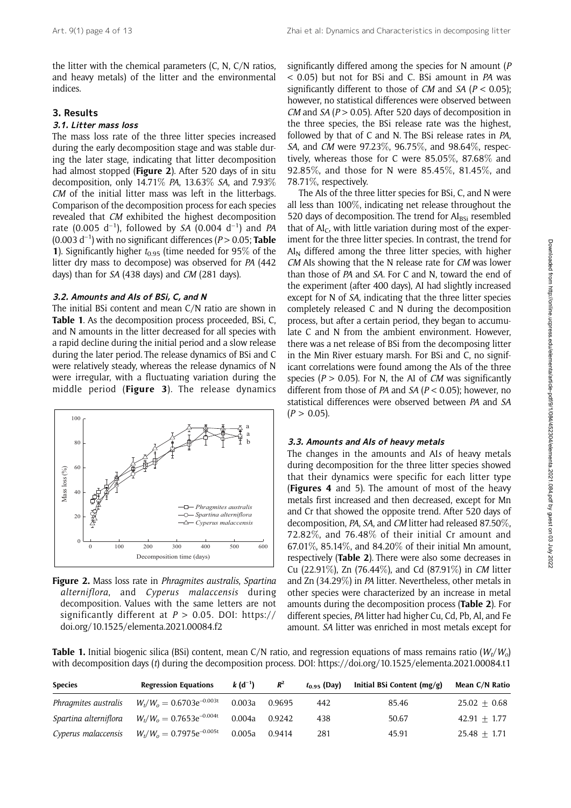the litter with the chemical parameters (C, N, C/N ratios, and heavy metals) of the litter and the environmental indices.

### 3. Results

## 3.1. Litter mass loss

The mass loss rate of the three litter species increased during the early decomposition stage and was stable during the later stage, indicating that litter decomposition had almost stopped (Figure 2). After 520 days of in situ decomposition, only 14.71% PA, 13.63% SA, and 7.93% CM of the initial litter mass was left in the litterbags. Comparison of the decomposition process for each species revealed that CM exhibited the highest decomposition rate (0.005 d<sup>-1</sup>), followed by SA (0.004 d<sup>-1</sup>) and PA  $(0.003 d^{-1})$  with no significant differences ( $P > 0.05$ ; Table 1). Significantly higher  $t_{0.95}$  (time needed for 95% of the litter dry mass to decompose) was observed for PA (442 days) than for SA (438 days) and CM (281 days).

#### 3.2. Amounts and AIs of BSi, C, and N

The initial BSi content and mean C/N ratio are shown in Table 1. As the decomposition process proceeded, BSi, C, and N amounts in the litter decreased for all species with a rapid decline during the initial period and a slow release during the later period. The release dynamics of BSi and C were relatively steady, whereas the release dynamics of N were irregular, with a fluctuating variation during the middle period (Figure 3). The release dynamics



Figure 2. Mass loss rate in *Phragmites australis, Spartina* alterniflora, and Cyperus malaccensis during decomposition. Values with the same letters are not significantly different at  $P > 0.05$ . DOI: https:// doi.org/10.1525/elementa.2021.00084.f2

significantly differed among the species for N amount (P < 0.05) but not for BSi and C. BSi amount in PA was significantly different to those of  $CM$  and  $SA$  ( $P < 0.05$ ); however, no statistical differences were observed between CM and SA ( $P > 0.05$ ). After 520 days of decomposition in the three species, the BSi release rate was the highest, followed by that of C and N. The BSi release rates in PA, SA, and CM were 97.23%, 96.75%, and 98.64%, respectively, whereas those for C were 85.05%, 87.68% and 92.85%, and those for N were 85.45%, 81.45%, and 78.71%, respectively.

The AIs of the three litter species for BSi, C, and N were all less than 100%, indicating net release throughout the 520 days of decomposition. The trend for  $AI<sub>BSi</sub>$  resembled that of  $AI<sub>C</sub>$ , with little variation during most of the experiment for the three litter species. In contrast, the trend for  $AI<sub>N</sub>$  differed among the three litter species, with higher CM AIs showing that the N release rate for CM was lower than those of PA and SA. For C and N, toward the end of the experiment (after 400 days), AI had slightly increased except for N of SA, indicating that the three litter species completely released C and N during the decomposition process, but after a certain period, they began to accumulate C and N from the ambient environment. However, there was a net release of BSi from the decomposing litter in the Min River estuary marsh. For BSi and C, no significant correlations were found among the AIs of the three species ( $P > 0.05$ ). For N, the AI of CM was significantly different from those of PA and  $SA (P < 0.05)$ ; however, no statistical differences were observed between PA and SA  $(P > 0.05)$ .

#### 3.3. Amounts and AIs of heavy metals

The changes in the amounts and AIs of heavy metals during decomposition for the three litter species showed that their dynamics were specific for each litter type (Figures 4 and 5). The amount of most of the heavy metals first increased and then decreased, except for Mn and Cr that showed the opposite trend. After 520 days of decomposition, PA, SA, and CM litter had released 87.50%, 72.82%, and 76.48% of their initial Cr amount and 67.01%, 85.14%, and 84.20% of their initial Mn amount, respectively (Table 2). There were also some decreases in Cu (22.91%), Zn (76.44%), and Cd (87.91%) in CM litter and Zn (34.29%) in PA litter. Nevertheless, other metals in other species were characterized by an increase in metal amounts during the decomposition process (Table 2). For different species, PA litter had higher Cu, Cd, Pb, Al, and Fe amount. SA litter was enriched in most metals except for

Table 1. Initial biogenic silica (BSi) content, mean C/N ratio, and regression equations of mass remains ratio ( $W_t/W_o$ ) with decomposition days (t) during the decomposition process. DOI: https://doi.org/10.1525/elementa.2021.00084.t1

| <b>Species</b>        | <b>Regression Equations</b>   | $k(d^{-1})$ | $R^2$  | $t_{0.95}$ (Day) | Initial BSi Content ( $mg/g$ ) | Mean C/N Ratio   |
|-----------------------|-------------------------------|-------------|--------|------------------|--------------------------------|------------------|
| Phragmites australis  | $W_t/W_o = 0.6703e^{-0.003t}$ | 0.003a      | 0.9695 | 442              | 85.46                          | $25.02 + 0.68$   |
| Spartina alterniflora | $W_t/W_o = 0.7653e^{-0.004t}$ | 0.004a      | 0.9242 | 438              | 50.67                          | $42.91 + 1.77$   |
| Cyperus malaccensis   | $W_t/W_o = 0.7975e^{-0.005t}$ | 0.005a      | 0.9414 | 281              | 45.91                          | $25.48 \pm 1.71$ |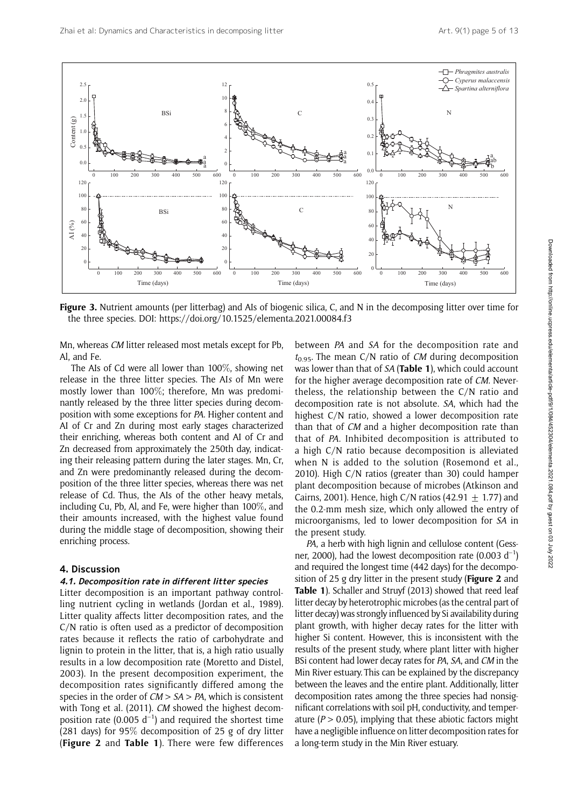

Figure 3. Nutrient amounts (per litterbag) and AIs of biogenic silica, C, and N in the decomposing litter over time for the three species. DOI: https://doi.org/10.1525/elementa.2021.00084.f3

Mn, whereas CM litter released most metals except for Pb, Al, and Fe.

The AIs of Cd were all lower than 100%, showing net release in the three litter species. The AIs of Mn were mostly lower than 100%; therefore, Mn was predominantly released by the three litter species during decomposition with some exceptions for PA. Higher content and AI of Cr and Zn during most early stages characterized their enriching, whereas both content and AI of Cr and Zn decreased from approximately the 250th day, indicating their releasing pattern during the later stages. Mn, Cr, and Zn were predominantly released during the decomposition of the three litter species, whereas there was net release of Cd. Thus, the AIs of the other heavy metals, including Cu, Pb, Al, and Fe, were higher than 100%, and their amounts increased, with the highest value found during the middle stage of decomposition, showing their enriching process.

#### 4. Discussion

#### 4.1. Decomposition rate in different litter species

Litter decomposition is an important pathway controlling nutrient cycling in wetlands (Jordan et al., 1989). Litter quality affects litter decomposition rates, and the C/N ratio is often used as a predictor of decomposition rates because it reflects the ratio of carbohydrate and lignin to protein in the litter, that is, a high ratio usually results in a low decomposition rate (Moretto and Distel, 2003). In the present decomposition experiment, the decomposition rates significantly differed among the species in the order of  $CM > SA > PA$ , which is consistent with Tong et al. (2011). CM showed the highest decomposition rate (0.005  $d^{-1}$ ) and required the shortest time (281 days) for 95% decomposition of 25 g of dry litter (Figure 2 and Table 1). There were few differences

between PA and SA for the decomposition rate and  $t_{0.95}$ . The mean C/N ratio of CM during decomposition was lower than that of SA (Table 1), which could account for the higher average decomposition rate of CM. Nevertheless, the relationship between the C/N ratio and decomposition rate is not absolute. SA, which had the highest C/N ratio, showed a lower decomposition rate than that of CM and a higher decomposition rate than that of PA. Inhibited decomposition is attributed to a high C/N ratio because decomposition is alleviated when N is added to the solution (Rosemond et al., 2010). High C/N ratios (greater than 30) could hamper plant decomposition because of microbes (Atkinson and Cairns, 2001). Hence, high C/N ratios (42.91  $\pm$  1.77) and the 0.2-mm mesh size, which only allowed the entry of microorganisms, led to lower decomposition for SA in the present study.

PA, a herb with high lignin and cellulose content (Gessner, 2000), had the lowest decomposition rate  $(0.003 \, \text{d}^{-1})$ and required the longest time (442 days) for the decomposition of 25 g dry litter in the present study (Figure  $2$  and Table 1). Schaller and Struyf (2013) showed that reed leaf litter decay by heterotrophic microbes (as the central part of litter decay) was strongly influenced by Si availability during plant growth, with higher decay rates for the litter with higher Si content. However, this is inconsistent with the results of the present study, where plant litter with higher BSi content had lower decay rates for PA, SA, and CM in the Min River estuary. This can be explained by the discrepancy between the leaves and the entire plant. Additionally, litter decomposition rates among the three species had nonsignificant correlations with soil pH, conductivity, and temperature ( $P > 0.05$ ), implying that these abiotic factors might have a negligible influence on litter decomposition rates for a long-term study in the Min River estuary.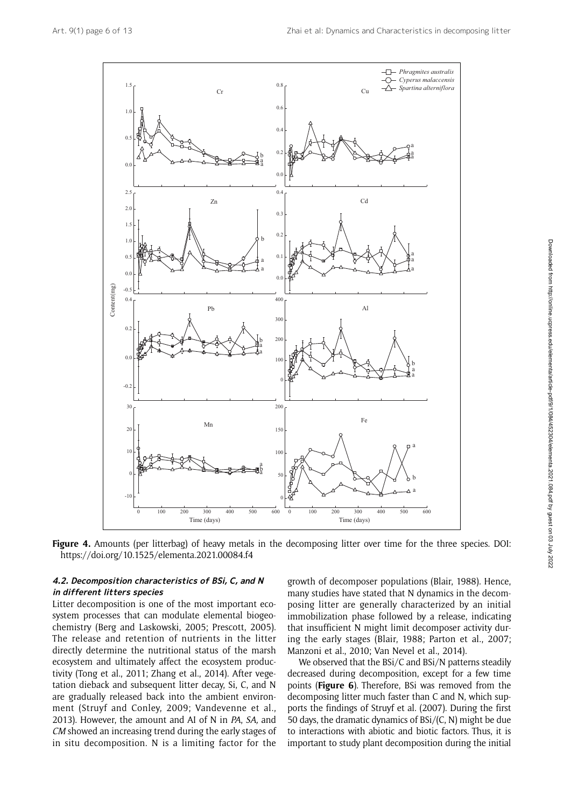

Figure 4. Amounts (per litterbag) of heavy metals in the decomposing litter over time for the three species. DOI: https://doi.org/10.1525/elementa.2021.00084.f4

## 4.2. Decomposition characteristics of BSi, C, and N in different litters species

Litter decomposition is one of the most important ecosystem processes that can modulate elemental biogeochemistry (Berg and Laskowski, 2005; Prescott, 2005). The release and retention of nutrients in the litter directly determine the nutritional status of the marsh ecosystem and ultimately affect the ecosystem productivity (Tong et al., 2011; Zhang et al., 2014). After vegetation dieback and subsequent litter decay, Si, C, and N are gradually released back into the ambient environment (Struyf and Conley, 2009; Vandevenne et al., 2013). However, the amount and AI of N in PA, SA, and CM showed an increasing trend during the early stages of in situ decomposition. N is a limiting factor for the

growth of decomposer populations (Blair, 1988). Hence, many studies have stated that N dynamics in the decomposing litter are generally characterized by an initial immobilization phase followed by a release, indicating that insufficient N might limit decomposer activity during the early stages (Blair, 1988; Parton et al., 2007; Manzoni et al., 2010; Van Nevel et al., 2014).

We observed that the BSi/C and BSi/N patterns steadily decreased during decomposition, except for a few time points (Figure 6). Therefore, BSi was removed from the decomposing litter much faster than C and N, which supports the findings of Struyf et al. (2007). During the first 50 days, the dramatic dynamics of BSi/(C, N) might be due to interactions with abiotic and biotic factors. Thus, it is important to study plant decomposition during the initial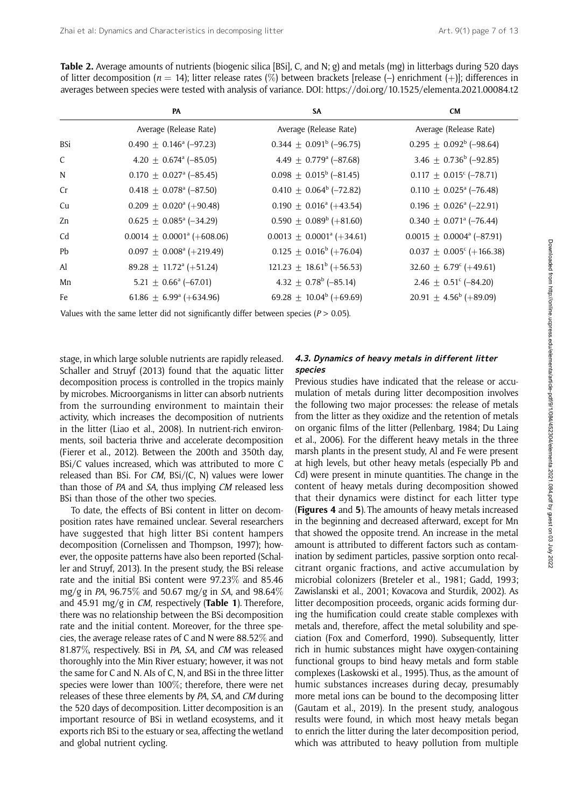Table 2. Average amounts of nutrients (biogenic silica [BSi], C, and N; g) and metals (mg) in litterbags during 520 days of litter decomposition ( $n = 14$ ); litter release rates (%) between brackets [release (–) enrichment (+)]; differences in averages between species were tested with analysis of variance. DOI: https://doi.org/10.1525/elementa.2021.00084.t2

|              | PA                                                 | SA                                      | <b>CM</b>                               |  |  |
|--------------|----------------------------------------------------|-----------------------------------------|-----------------------------------------|--|--|
|              | Average (Release Rate)                             | Average (Release Rate)                  | Average (Release Rate)                  |  |  |
| <b>BSi</b>   | $0.490 \pm 0.146^{\circ}$ (-97.23)                 | $0.344 \pm 0.091^b$ (-96.75)            | $0.295 \pm 0.092^b$ (-98.64)            |  |  |
| $\mathsf{C}$ | 4.20 $\pm$ 0.674 <sup>a</sup> (-85.05)             | 4.49 $\pm$ 0.779 <sup>a</sup> (-87.68)  | $3.46 \pm 0.736^b$ (-92.85)             |  |  |
| N            | $0.170 \pm 0.027$ <sup>a</sup> (-85.45)            | $0.098 \pm 0.015^b$ (-81.45)            | $0.117 \pm 0.015^{\circ}$ (-78.71)      |  |  |
| Cr           | $0.418 \pm 0.078$ <sup>a</sup> (-87.50)            | $0.410 \pm 0.064^b$ (-72.82)            | $0.110 \pm 0.025^{\text{a}}$ (-76.48)   |  |  |
| Cu           | $0.209 \pm 0.020^{\circ}$ (+90.48)                 | $0.190 \pm 0.016^a \ (+43.54)$          | $0.196 \pm 0.026^{\circ}$ (-22.91)      |  |  |
| Zn           | $0.625 \pm 0.085^{\circ}$ (-34.29)                 | $0.590 \pm 0.089^b \ (+81.60)$          | $0.340 \pm 0.071$ <sup>a</sup> (-76.44) |  |  |
| Cd           | $0.0014 \pm 0.0001^a \left( +608.06 \right)$       | $0.0013 \pm 0.0001^a \,(+34.61)$        | $0.0015 \pm 0.0004^{\circ}$ (-87.91)    |  |  |
| Pb           | $0.097 \pm 0.008^a \left( +219.49 \right)$         | $0.125 \pm 0.016^b \ (+76.04)$          | $0.037 \pm 0.005^{\circ}$ (+166.38)     |  |  |
| Al           | $89.28 \pm 11.72^{\text{a}} \left( +51.24 \right)$ | $121.23 \pm 18.61^b \ (+56.53)$         | $32.60 \pm 6.79^{\circ}$ (+49.61)       |  |  |
| Mn           | $5.21 \pm 0.66^a (-67.01)$                         | 4.32 $\pm$ 0.78 <sup>b</sup> (-85.14)   | 2.46 $\pm$ 0.51 <sup>c</sup> (-84.20)   |  |  |
| Fe           | 61.86 $\pm$ 6.99 <sup>a</sup> (+634.96)            | 69.28 $\pm$ 10.04 <sup>b</sup> (+69.69) | $20.91 \pm 4.56^{\circ}$ (+89.09)       |  |  |

Values with the same letter did not significantly differ between species ( $P > 0.05$ ).

stage, in which large soluble nutrients are rapidly released. Schaller and Struyf (2013) found that the aquatic litter decomposition process is controlled in the tropics mainly by microbes. Microorganisms in litter can absorb nutrients from the surrounding environment to maintain their activity, which increases the decomposition of nutrients in the litter (Liao et al., 2008). In nutrient-rich environments, soil bacteria thrive and accelerate decomposition (Fierer et al., 2012). Between the 200th and 350th day, BSi/C values increased, which was attributed to more C released than BSi. For CM, BSi/(C, N) values were lower than those of PA and SA, thus implying CM released less BSi than those of the other two species.

To date, the effects of BSi content in litter on decomposition rates have remained unclear. Several researchers have suggested that high litter BSi content hampers decomposition (Cornelissen and Thompson, 1997); however, the opposite patterns have also been reported (Schaller and Struyf, 2013). In the present study, the BSi release rate and the initial BSi content were 97.23% and 85.46 mg/g in PA, 96.75% and 50.67 mg/g in SA, and 98.64% and 45.91 mg/g in  $CM$ , respectively (Table 1). Therefore, there was no relationship between the BSi decomposition rate and the initial content. Moreover, for the three species, the average release rates of C and N were 88.52% and 81.87%, respectively. BSi in PA, SA, and CM was released thoroughly into the Min River estuary; however, it was not the same for C and N. AIs of C, N, and BSi in the three litter species were lower than 100%; therefore, there were net releases of these three elements by PA, SA, and CM during the 520 days of decomposition. Litter decomposition is an important resource of BSi in wetland ecosystems, and it exports rich BSi to the estuary or sea, affecting the wetland and global nutrient cycling.

## 4.3. Dynamics of heavy metals in different litter species

Previous studies have indicated that the release or accumulation of metals during litter decomposition involves the following two major processes: the release of metals from the litter as they oxidize and the retention of metals on organic films of the litter (Pellenbarg, 1984; Du Laing et al., 2006). For the different heavy metals in the three marsh plants in the present study, Al and Fe were present at high levels, but other heavy metals (especially Pb and Cd) were present in minute quantities. The change in the content of heavy metals during decomposition showed that their dynamics were distinct for each litter type (Figures 4 and 5). The amounts of heavy metals increased in the beginning and decreased afterward, except for Mn that showed the opposite trend. An increase in the metal amount is attributed to different factors such as contamination by sediment particles, passive sorption onto recalcitrant organic fractions, and active accumulation by microbial colonizers (Breteler et al., 1981; Gadd, 1993; Zawislanski et al., 2001; Kovacova and Sturdik, 2002). As litter decomposition proceeds, organic acids forming during the humification could create stable complexes with metals and, therefore, affect the metal solubility and speciation (Fox and Comerford, 1990). Subsequently, litter rich in humic substances might have oxygen-containing functional groups to bind heavy metals and form stable complexes (Laskowski et al., 1995). Thus, as the amount of humic substances increases during decay, presumably more metal ions can be bound to the decomposing litter (Gautam et al., 2019). In the present study, analogous results were found, in which most heavy metals began to enrich the litter during the later decomposition period, which was attributed to heavy pollution from multiple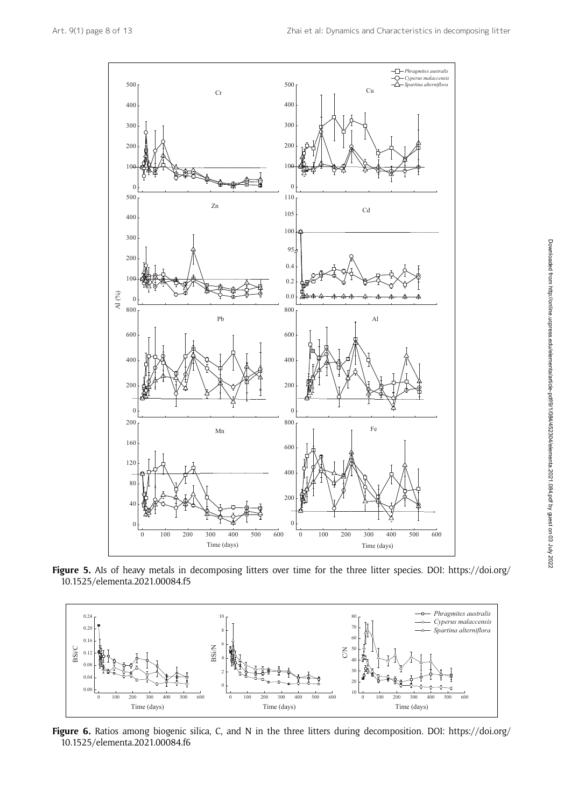

Figure 5. AIs of heavy metals in decomposing litters over time for the three litter species. DOI: https://doi.org/ 10.1525/elementa.2021.00084.f5



Figure 6. Ratios among biogenic silica, C, and N in the three litters during decomposition. DOI: https://doi.org/ 10.1525/elementa.2021.00084.f6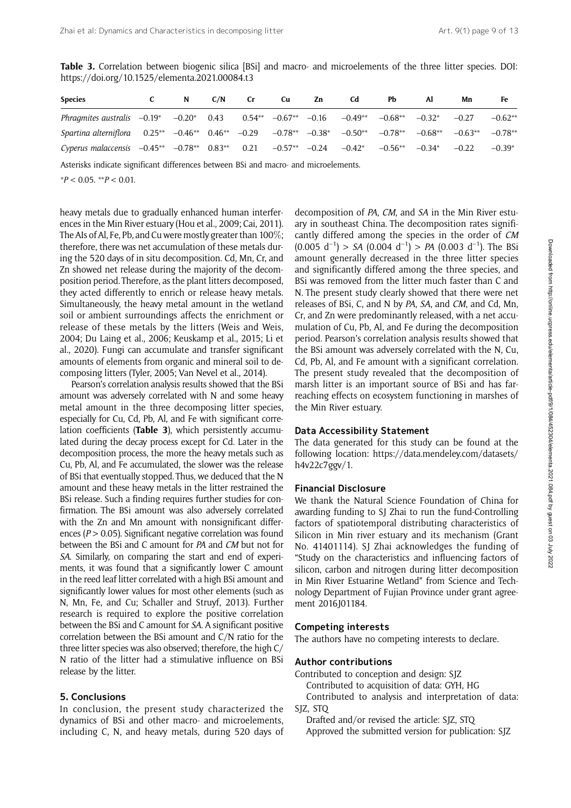Table 3. Correlation between biogenic silica [BSi] and macro- and microelements of the three litter species. DOI: https://doi.org/10.1525/elementa.2021.00084.t3

| <b>Species</b>                                                                                           |  | C/N | <b>Cr</b> | Cu | Zn | Cd                                                          | Pb |          | Mn      | Fe        |
|----------------------------------------------------------------------------------------------------------|--|-----|-----------|----|----|-------------------------------------------------------------|----|----------|---------|-----------|
| Phragmites australis $-0.19^*$ $-0.20^*$ 0.43                                                            |  |     |           |    |    | $0.54***$ $-0.67***$ $-0.16$ $-0.49***$ $-0.68***$ $-0.32*$ |    |          | $-0.27$ | $-0.62**$ |
| Spartina alterniflora 0.25** -0.46** 0.46** -0.29 -0.78** -0.38* -0.50** -0.78** -0.68** -0.63** -0.78** |  |     |           |    |    |                                                             |    |          |         |           |
| Cyperus malaccensis $-0.45**$ $-0.78**$ $0.83**$ $0.21$ $-0.57**$ $-0.24$ $-0.42*$ $-0.56**$             |  |     |           |    |    |                                                             |    | $-0.34*$ | $-0.22$ | $-0.39*$  |

Asterisks indicate significant differences between BSi and macro- and microelements.

 $*P < 0.05$ .  $*P < 0.01$ .

heavy metals due to gradually enhanced human interferences in the Min River estuary (Hou et al., 2009; Cai, 2011). The AIs of Al, Fe, Pb, and Cu were mostly greater than 100%; therefore, there was net accumulation of these metals during the 520 days of in situ decomposition. Cd, Mn, Cr, and Zn showed net release during the majority of the decomposition period. Therefore, as the plant litters decomposed, they acted differently to enrich or release heavy metals. Simultaneously, the heavy metal amount in the wetland soil or ambient surroundings affects the enrichment or release of these metals by the litters (Weis and Weis, 2004; Du Laing et al., 2006; Keuskamp et al., 2015; Li et al., 2020). Fungi can accumulate and transfer significant amounts of elements from organic and mineral soil to decomposing litters (Tyler, 2005; Van Nevel et al., 2014).

Pearson's correlation analysis results showed that the BSi amount was adversely correlated with N and some heavy metal amount in the three decomposing litter species, especially for Cu, Cd, Pb, Al, and Fe with significant correlation coefficients (Table 3), which persistently accumulated during the decay process except for Cd. Later in the decomposition process, the more the heavy metals such as Cu, Pb, Al, and Fe accumulated, the slower was the release of BSi that eventually stopped. Thus, we deduced that the N amount and these heavy metals in the litter restrained the BSi release. Such a finding requires further studies for confirmation. The BSi amount was also adversely correlated with the Zn and Mn amount with nonsignificant differences ( $P > 0.05$ ). Significant negative correlation was found between the BSi and C amount for PA and CM but not for SA. Similarly, on comparing the start and end of experiments, it was found that a significantly lower C amount in the reed leaf litter correlated with a high BSi amount and significantly lower values for most other elements (such as N, Mn, Fe, and Cu; Schaller and Struyf, 2013). Further research is required to explore the positive correlation between the BSi and C amount for SA. A significant positive correlation between the BSi amount and C/N ratio for the three litter species was also observed; therefore, the high C/ N ratio of the litter had a stimulative influence on BSi release by the litter.

#### 5. Conclusions

In conclusion, the present study characterized the dynamics of BSi and other macro- and microelements, including C, N, and heavy metals, during 520 days of

decomposition of PA, CM, and SA in the Min River estuary in southeast China. The decomposition rates significantly differed among the species in the order of CM  $(0.005 \text{ d}^{-1})$  > SA  $(0.004 \text{ d}^{-1})$  > PA  $(0.003 \text{ d}^{-1})$ . The BSi amount generally decreased in the three litter species and significantly differed among the three species, and BSi was removed from the litter much faster than C and N. The present study clearly showed that there were net releases of BSi, C, and N by PA, SA, and CM, and Cd, Mn, Cr, and Zn were predominantly released, with a net accumulation of Cu, Pb, Al, and Fe during the decomposition period. Pearson's correlation analysis results showed that the BSi amount was adversely correlated with the N, Cu, Cd, Pb, Al, and Fe amount with a significant correlation. The present study revealed that the decomposition of marsh litter is an important source of BSi and has farreaching effects on ecosystem functioning in marshes of the Min River estuary.

#### Data Accessibility Statement

The data generated for this study can be found at the following location: [https://data.mendeley.com/datasets/](https://data.mendeley.com/datasets/h4v22c7ggv/1) [h4v22c7ggv/1.](https://data.mendeley.com/datasets/h4v22c7ggv/1)

#### Financial Disclosure

We thank the Natural Science Foundation of China for awarding funding to SJ Zhai to run the fund-Controlling factors of spatiotemporal distributing characteristics of Silicon in Min river estuary and its mechanism (Grant No. 41401114). SJ Zhai acknowledges the funding of "Study on the characteristics and influencing factors of silicon, carbon and nitrogen during litter decomposition in Min River Estuarine Wetland" from Science and Technology Department of Fujian Province under grant agreement 2016J01184.

#### Competing interests

The authors have no competing interests to declare.

#### Author contributions

Contributed to conception and design: SJZ

Contributed to acquisition of data: GYH, HG

Contributed to analysis and interpretation of data: SJZ, STQ

Drafted and/or revised the article: SJZ, STQ

Approved the submitted version for publication: SJZ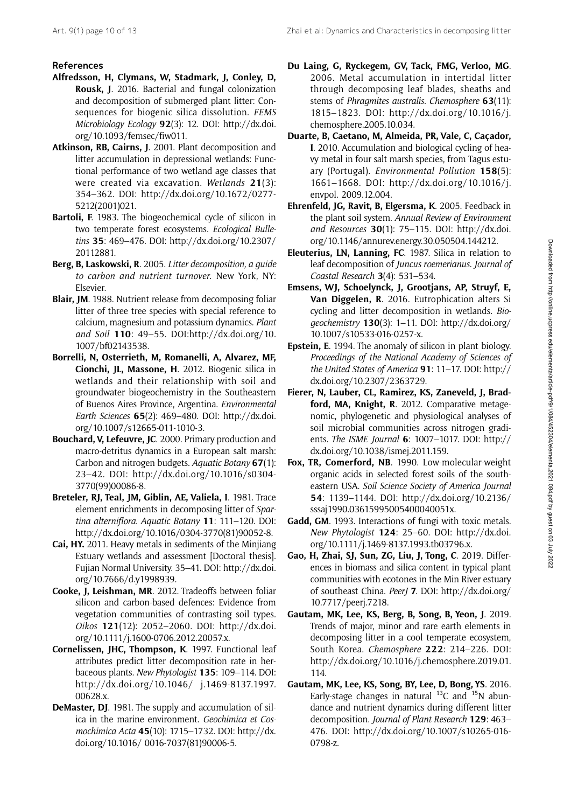## References

- Alfredsson, H, Clymans, W, Stadmark, J, Conley, D, Rousk, J. 2016. Bacterial and fungal colonization and decomposition of submerged plant litter: Consequences for biogenic silica dissolution. FEMS Microbiology Ecology 92(3): 12. DOI: [http://dx.doi.](http://dx.doi.org/10.1093/femsec/fiw011) [org/10.1093/femsec/fiw011](http://dx.doi.org/10.1093/femsec/fiw011).
- Atkinson, RB, Cairns, J. 2001. Plant decomposition and litter accumulation in depressional wetlands: Functional performance of two wetland age classes that were created via excavation. Wetlands 21(3): 354–362. DOI: [http://dx.doi.org/10.1672/0277-](http://dx.doi.org/10.1672/0277-5212(2001)021) [5212\(2001\)021.](http://dx.doi.org/10.1672/0277-5212(2001)021)
- Bartoli, F. 1983. The biogeochemical cycle of silicon in two temperate forest ecosystems. Ecological Bulletins 35: 469–476. DOI: [http://dx.doi.org/10.2307/](http://dx.doi.org/10.2307/20112881) [20112881.](http://dx.doi.org/10.2307/20112881)
- Berg, B, Laskowski, R. 2005. Litter decomposition, a guide to carbon and nutrient turnover. New York, NY: Elsevier.
- Blair, JM. 1988. Nutrient release from decomposing foliar litter of three tree species with special reference to calcium, magnesium and potassium dynamics. Plant and Soil 110: 49–55. DOI[:http://dx.doi.org/10.](http://dx.doi.org/10.1007/bf02143538) [1007/bf02143538.](http://dx.doi.org/10.1007/bf02143538)
- Borrelli, N, Osterrieth, M, Romanelli, A, Alvarez, MF, Cionchi, JL, Massone, H. 2012. Biogenic silica in wetlands and their relationship with soil and groundwater biogeochemistry in the Southeastern of Buenos Aires Province, Argentina. Environmental Earth Sciences 65(2): 469–480. DOI: [http://dx.doi.](http://dx.doi.org/10.1007/s12665-011-1010-3) [org/10.1007/s12665-011-1010-3](http://dx.doi.org/10.1007/s12665-011-1010-3).
- Bouchard, V, Lefeuvre, JC. 2000. Primary production and macro-detritus dynamics in a European salt marsh: Carbon and nitrogen budgets. Aquatic Botany 67(1): 23–42. DOI: [http://dx.doi.org/10.1016/s0304-](http://dx.doi.org/10.1016/s0304-3770(99)00086-8) [3770\(99\)00086-8](http://dx.doi.org/10.1016/s0304-3770(99)00086-8).
- Breteler, RJ, Teal, JM, Giblin, AE, Valiela, I. 1981. Trace element enrichments in decomposing litter of Spartina alterniflora. Aquatic Botany 11: 111–120. DOI: [http://dx.doi.org/10.1016/0304-3770\(81\)90052-8.](http://dx.doi.org/10.1016/0304-3770(81)90052-8)
- Cai, HY. 2011. Heavy metals in sediments of the Minjiang Estuary wetlands and assessment [Doctoral thesis]. Fujian Normal University. 35–41. DOI: [http://dx.doi.](http://dx.doi.org/10.7666/d.y1998939) [org/10.7666/d.y1998939](http://dx.doi.org/10.7666/d.y1998939).
- Cooke, J, Leishman, MR. 2012. Tradeoffs between foliar silicon and carbon-based defences: Evidence from vegetation communities of contrasting soil types. Oikos 121(12): 2052–2060. DOI: [http://dx.doi.](http://dx.doi.org/10.1111/j.1600-0706.2012.20057.x) [org/10.1111/j.1600-0706.2012.20057.x.](http://dx.doi.org/10.1111/j.1600-0706.2012.20057.x)
- Cornelissen, JHC, Thompson, K. 1997. Functional leaf attributes predict litter decomposition rate in herbaceous plants. New Phytologist 135: 109–114. DOI: [http://dx.doi.org/10.1046/ j.1469-8137.1997.](http://dx.doi.org/10.1046/ j.1469-8137.1997.00628.x) [00628.x.](http://dx.doi.org/10.1046/ j.1469-8137.1997.00628.x)
- DeMaster, DJ. 1981. The supply and accumulation of silica in the marine environment. Geochimica et Cosmochimica Acta 45(10): 1715–1732. DOI: [http://dx.](http://dx.doi.org/10.1016/ 0016-7037(81)90006-5) [doi.org/10.1016/ 0016-7037\(81\)90006-5.](http://dx.doi.org/10.1016/ 0016-7037(81)90006-5)
- Du Laing, G, Ryckegem, GV, Tack, FMG, Verloo, MG. 2006. Metal accumulation in intertidal litter through decomposing leaf blades, sheaths and stems of *Phragmites australis. Chemosphere* **63**(11): 1815–1823. DOI: [http://dx.doi.org/10.1016/j.](http://dx.doi.org/10.1016/j.chemosphere.2005.10.034) [chemosphere.2005.10.034.](http://dx.doi.org/10.1016/j.chemosphere.2005.10.034)
- Duarte, B, Caetano, M, Almeida, PR, Vale, C, Caçador, I. 2010. Accumulation and biological cycling of heavy metal in four salt marsh species, from Tagus estuary (Portugal). Environmental Pollution 158(5): 1661–1668. DOI: [http://dx.doi.org/10.1016/j.](http://dx.doi.org/10.1016/j.envpol. 2009.12.004) [envpol. 2009.12.004.](http://dx.doi.org/10.1016/j.envpol. 2009.12.004)
- Ehrenfeld, JG, Ravit, B, Elgersma, K. 2005. Feedback in the plant soil system. Annual Review of Environment and Resources 30(1): 75–115. DOI: [http://dx.doi.](http://dx.doi.org/10.1146/annurev.energy.30.050504.144212) [org/10.1146/annurev.energy.30.050504.144212.](http://dx.doi.org/10.1146/annurev.energy.30.050504.144212)
- Eleuterius, LN, Lanning, FC. 1987. Silica in relation to leaf decomposition of Juncus roemerianus. Journal of Coastal Research 3(4): 531–534.
- Emsens, WJ, Schoelynck, J, Grootjans, AP, Struyf, E, Van Diggelen, R. 2016. Eutrophication alters Si cycling and litter decomposition in wetlands. Biogeochemistry 130(3): 1–11. DOI: [http://dx.doi.org/](http://dx.doi.org/10.1007/s10533-016-0257-x) [10.1007/s10533-016-0257-x.](http://dx.doi.org/10.1007/s10533-016-0257-x)
- Epstein, E. 1994. The anomaly of silicon in plant biology. Proceedings of the National Academy of Sciences of the United States of America 91: 11–17. DOI: [http://](http://dx.doi.org/10.2307/2363729) [dx.doi.org/10.2307/2363729](http://dx.doi.org/10.2307/2363729).
- Fierer, N, Lauber, CL, Ramirez, KS, Zaneveld, J, Bradford, MA, Knight, R. 2012. Comparative metagenomic, phylogenetic and physiological analyses of soil microbial communities across nitrogen gradients. The ISME Journal 6: 1007–1017. DOI: [http://](http://dx.doi.org/10.1038/ismej.2011.159) [dx.doi.org/10.1038/ismej.2011.159.](http://dx.doi.org/10.1038/ismej.2011.159)
- Fox, TR, Comerford, NB. 1990. Low-molecular-weight organic acids in selected forest soils of the southeastern USA. Soil Science Society of America Journal 54: 1139–1144. DOI: [http://dx.doi.org/10.2136/](http://dx.doi.org/10.2136/sssaj1990.03615995005400040051x) [sssaj1990.03615995005400040051x](http://dx.doi.org/10.2136/sssaj1990.03615995005400040051x).
- Gadd, GM. 1993. Interactions of fungi with toxic metals. New Phytologist 124: 25–60. DOI: [http://dx.doi.](http://dx.doi.org/10.1111/j.1469-8137.1993.tb03796.x) [org/10.1111/j.1469-8137.1993.tb03796.x.](http://dx.doi.org/10.1111/j.1469-8137.1993.tb03796.x)
- Gao, H, Zhai, SJ, Sun, ZG, Liu, J, Tong, C. 2019. Differences in biomass and silica content in typical plant communities with ecotones in the Min River estuary of southeast China. PeerJ 7. DOI: [http://dx.doi.org/](http://dx.doi.org/10.7717/peerj.7218) [10.7717/peerj.7218](http://dx.doi.org/10.7717/peerj.7218).
- Gautam, MK, Lee, KS, Berg, B, Song, B, Yeon, J. 2019. Trends of major, minor and rare earth elements in decomposing litter in a cool temperate ecosystem, South Korea. Chemosphere 222: 214–226. DOI: [http://dx.doi.org/10.1016/j.chemosphere.2019.01.](http://dx.doi.org/10.1016/j.chemosphere.2019.01.114) [114.](http://dx.doi.org/10.1016/j.chemosphere.2019.01.114)
- Gautam, MK, Lee, KS, Song, BY, Lee, D, Bong, YS. 2016. Early-stage changes in natural  $^{13}$ C and  $^{15}$ N abundance and nutrient dynamics during different litter decomposition. Journal of Plant Research 129: 463– 476. DOI: [http://dx.doi.org/10.1007/s10265-016-](http://dx.doi.org/10.1007/s10265-016-0798-z) [0798-z](http://dx.doi.org/10.1007/s10265-016-0798-z).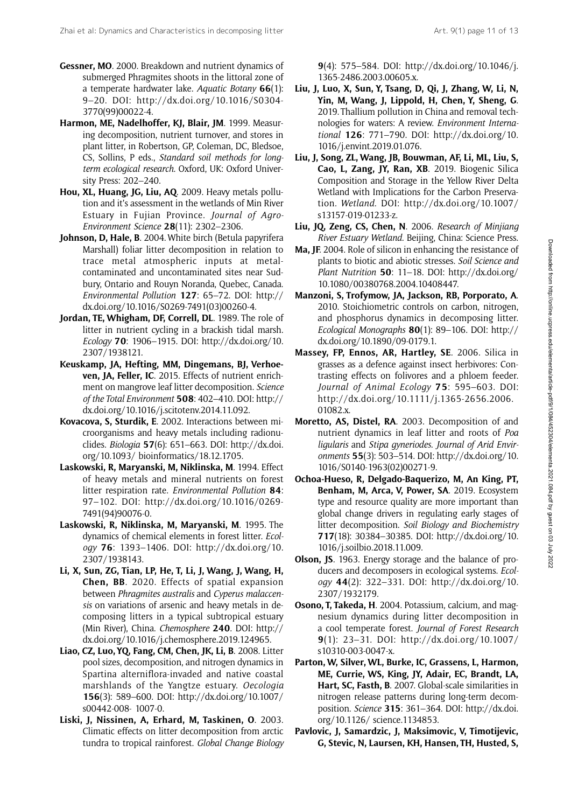- Gessner, MO. 2000. Breakdown and nutrient dynamics of submerged Phragmites shoots in the littoral zone of a temperate hardwater lake. Aquatic Botany 66(1): 9–20. DOI: [http://dx.doi.org/10.1016/S0304-](http://dx.doi.org/10.1016/S0304-3770(99)00022-4) [3770\(99\)00022-4.](http://dx.doi.org/10.1016/S0304-3770(99)00022-4)
- Harmon, ME, Nadelhoffer, KJ, Blair, JM. 1999. Measuring decomposition, nutrient turnover, and stores in plant litter, in Robertson, GP, Coleman, DC, Bledsoe, CS, Sollins, P eds., Standard soil methods for longterm ecological research. Oxford, UK: Oxford University Press: 202–240.
- Hou, XL, Huang, JG, Liu, AQ. 2009. Heavy metals pollution and it's assessment in the wetlands of Min River Estuary in Fujian Province. Journal of Agro-Environment Science 28(11): 2302–2306.
- Johnson, D, Hale, B. 2004. White birch (Betula papyrifera Marshall) foliar litter decomposition in relation to trace metal atmospheric inputs at metalcontaminated and uncontaminated sites near Sudbury, Ontario and Rouyn Noranda, Quebec, Canada. Environmental Pollution 127: 65–72. DOI: [http://](http://dx.doi.org/10.1016/S0269-7491(03)00260-4) [dx.doi.org/10.1016/S0269-7491\(03\)00260-4.](http://dx.doi.org/10.1016/S0269-7491(03)00260-4)
- Jordan, TE, Whigham, DF, Correll, DL. 1989. The role of litter in nutrient cycling in a brackish tidal marsh. Ecology 70: 1906–1915. DOI: [http://dx.doi.org/10.](http://dx.doi.org/10.2307/1938121) [2307/1938121](http://dx.doi.org/10.2307/1938121).
- Keuskamp, JA, Hefting, MM, Dingemans, BJ, Verhoeven, JA, Feller, IC. 2015. Effects of nutrient enrichment on mangrove leaf litter decomposition. Science of the Total Environment 508: 402–410. DOI: [http://](http://dx.doi.org/10.1016/j.scitotenv.2014.11.092) [dx.doi.org/10.1016/j.scitotenv.2014.11.092.](http://dx.doi.org/10.1016/j.scitotenv.2014.11.092)
- Kovacova, S, Sturdik, E. 2002. Interactions between microorganisms and heavy metals including radionuclides. Biologia 57(6): 651–663. DOI: [http://dx.doi.](http://dx.doi.org/10.1093/ bioinformatics/18.12.1705) [org/10.1093/ bioinformatics/18.12.1705.](http://dx.doi.org/10.1093/ bioinformatics/18.12.1705)
- Laskowski, R, Maryanski, M, Niklinska, M. 1994. Effect of heavy metals and mineral nutrients on forest litter respiration rate. Environmental Pollution 84: 97–102. DOI: [http://dx.doi.org/10.1016/0269-](http://dx.doi.org/10.1016/0269-7491(94)90076-0) [7491\(94\)90076-0](http://dx.doi.org/10.1016/0269-7491(94)90076-0).
- Laskowski, R, Niklinska, M, Maryanski, M. 1995. The dynamics of chemical elements in forest litter. Ecology 76: 1393–1406. DOI: [http://dx.doi.org/10.](http://dx.doi.org/10.2307/1938143) [2307/1938143.](http://dx.doi.org/10.2307/1938143)
- Li, X, Sun, ZG, Tian, LP, He, T, Li, J, Wang, J, Wang, H, Chen, BB. 2020. Effects of spatial expansion between Phragmites australis and Cyperus malaccensis on variations of arsenic and heavy metals in decomposing litters in a typical subtropical estuary (Min River), China. Chemosphere 240. DOI: [http://](http://dx.doi.org/10.1016/j.chemosphere.2019.124965) [dx.doi.org/10.1016/j.chemosphere.2019.124965](http://dx.doi.org/10.1016/j.chemosphere.2019.124965).
- Liao, CZ, Luo, YQ, Fang, CM, Chen, JK, Li, B. 2008. Litter pool sizes, decomposition, and nitrogen dynamics in Spartina alterniflora-invaded and native coastal marshlands of the Yangtze estuary. Oecologia 156(3): 589–600. DOI: [http://dx.doi.org/10.1007/](http://dx.doi.org/10.1007/s00442-008- 1007-0) [s00442-008- 1007-0](http://dx.doi.org/10.1007/s00442-008- 1007-0).
- Liski, J, Nissinen, A, Erhard, M, Taskinen, O. 2003. Climatic effects on litter decomposition from arctic tundra to tropical rainforest. Global Change Biology

9(4): 575–584. DOI: [http://dx.doi.org/10.1046/j.](http://dx.doi.org/10.1046/j.1365-2486.2003.00605.x) [1365-2486.2003.00605.x](http://dx.doi.org/10.1046/j.1365-2486.2003.00605.x).

- Liu, J, Luo, X, Sun, Y, Tsang, D, Qi, J, Zhang, W, Li, N, Yin, M, Wang, J, Lippold, H, Chen, Y, Sheng, G. 2019. Thallium pollution in China and removal technologies for waters: A review. Environment International 126: 771–790. DOI: [http://dx.doi.org/10.](http://dx.doi.org/10.1016/j.envint.2019.01.076) [1016/j.envint.2019.01.076.](http://dx.doi.org/10.1016/j.envint.2019.01.076)
- Liu, J, Song, ZL, Wang, JB, Bouwman, AF, Li, ML, Liu, S, Cao, L, Zang, JY, Ran, XB. 2019. Biogenic Silica Composition and Storage in the Yellow River Delta Wetland with Implications for the Carbon Preservation. Wetland. DOI: [http://dx.doi.org/10.1007/](http://dx.doi.org/10.1007/s13157-019-01233-z) [s13157-019-01233-z.](http://dx.doi.org/10.1007/s13157-019-01233-z)
- Liu, JQ, Zeng, CS, Chen, N. 2006. Research of Minjiang River Estuary Wetland. Beijing, China: Science Press.
- Ma, JF. 2004. Role of silicon in enhancing the resistance of plants to biotic and abiotic stresses. Soil Science and Plant Nutrition 50: 11-18. DOI: [http://dx.doi.org/](http://dx.doi.org/10.1080/00380768.2004.10408447) [10.1080/00380768.2004.10408447.](http://dx.doi.org/10.1080/00380768.2004.10408447)
- Manzoni, S, Trofymow, JA, Jackson, RB, Porporato, A. 2010. Stoichiometric controls on carbon, nitrogen, and phosphorus dynamics in decomposing litter. Ecological Monographs 80(1): 89–106. DOI: [http://](http://dx.doi.org/10.1890/09-0179.1) [dx.doi.org/10.1890/09-0179.1.](http://dx.doi.org/10.1890/09-0179.1)
- Massey, FP, Ennos, AR, Hartley, SE. 2006. Silica in grasses as a defence against insect herbivores: Contrasting effects on folivores and a phloem feeder. Journal of Animal Ecology 75: 595–603. DOI: [http://dx.doi.org/10.1111/j.1365-2656.2006.](http://dx.doi.org/10.1111/j.1365-2656.2006.01082.x) [01082.x.](http://dx.doi.org/10.1111/j.1365-2656.2006.01082.x)
- Moretto, AS, Distel, RA. 2003. Decomposition of and nutrient dynamics in leaf litter and roots of Poa ligularis and Stipa gyneriodes. Journal of Arid Environments 55(3): 503–514. DOI: [http://dx.doi.org/10.](http://dx.doi.org/10.1016/S0140-1963(02)00271-9) [1016/S0140-1963\(02\)00271-9](http://dx.doi.org/10.1016/S0140-1963(02)00271-9).
- Ochoa-Hueso, R, Delgado-Baquerizo, M, An King, PT, Benham, M, Arca, V, Power, SA. 2019. Ecosystem type and resource quality are more important than global change drivers in regulating early stages of litter decomposition. Soil Biology and Biochemistry 717(18): 30384–30385. DOI: [http://dx.doi.org/10.](http://dx.doi.org/10.1016/j.soilbio.2018.11.009) [1016/j.soilbio.2018.11.009](http://dx.doi.org/10.1016/j.soilbio.2018.11.009).
- Olson, JS. 1963. Energy storage and the balance of producers and decomposers in ecological systems. Ecology 44(2): 322–331. DOI: [http://dx.doi.org/10.](http://dx.doi.org/10.2307/1932179) [2307/1932179.](http://dx.doi.org/10.2307/1932179)
- Osono, T, Takeda, H. 2004. Potassium, calcium, and magnesium dynamics during litter decomposition in a cool temperate forest. Journal of Forest Research 9(1): 23–31. DOI: [http://dx.doi.org/10.1007/](http://dx.doi.org/10.1007/s10310-003-0047-x) [s10310-003-0047-x.](http://dx.doi.org/10.1007/s10310-003-0047-x)
- Parton, W, Silver, WL, Burke, IC, Grassens, L, Harmon, ME, Currie, WS, King, JY, Adair, EC, Brandt, LA, Hart, SC, Fasth, B. 2007. Global-scale similarities in nitrogen release patterns during long-term decomposition. Science 315: 361–364. DOI: [http://dx.doi.](http://dx.doi.org/10.1126/ science.1134853) [org/10.1126/ science.1134853.](http://dx.doi.org/10.1126/ science.1134853)
- Pavlovic, J, Samardzic, J, Maksimovic, V, Timotijevic, G, Stevic, N, Laursen, KH, Hansen, TH, Husted, S,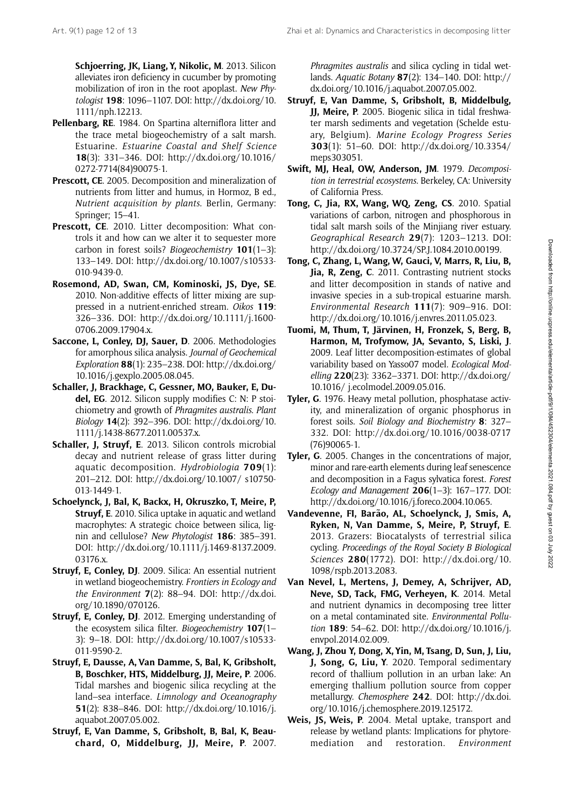Schjoerring, JK, Liang, Y, Nikolic, M. 2013. Silicon alleviates iron deficiency in cucumber by promoting mobilization of iron in the root apoplast. New Phytologist 198: 1096–1107. DOI: [http://dx.doi.org/10.](http://dx.doi.org/10.1111/nph.12213) [1111/nph.12213](http://dx.doi.org/10.1111/nph.12213).

- Pellenbarg, RE. 1984. On Spartina alterniflora litter and the trace metal biogeochemistry of a salt marsh. Estuarine. Estuarine Coastal and Shelf Science 18(3): 331–346. DOI: [http://dx.doi.org/10.1016/](http://dx.doi.org/10.1016/0272-7714(84)90075-1) [0272-7714\(84\)90075-1.](http://dx.doi.org/10.1016/0272-7714(84)90075-1)
- Prescott, CE. 2005. Decomposition and mineralization of nutrients from litter and humus, in Hormoz, B ed., Nutrient acquisition by plants. Berlin, Germany: Springer; 15–41.
- Prescott, CE. 2010. Litter decomposition: What controls it and how can we alter it to sequester more carbon in forest soils? *Biogeochemistry*  $101(1-3)$ : 133–149. DOI: [http://dx.doi.org/10.1007/s10533-](http://dx.doi.org/10.1007/s10533-010-9439-0) [010-9439-0](http://dx.doi.org/10.1007/s10533-010-9439-0).
- Rosemond, AD, Swan, CM, Kominoski, JS, Dye, SE. 2010. Non-additive effects of litter mixing are suppressed in a nutrient-enriched stream. Oikos 119: 326–336. DOI: [http://dx.doi.org/10.1111/j.1600-](http://dx.doi.org/10.1111/j.1600-0706.2009.17904.x) [0706.2009.17904.x](http://dx.doi.org/10.1111/j.1600-0706.2009.17904.x).
- Saccone, L, Conley, DJ, Sauer, D. 2006. Methodologies for amorphous silica analysis. Journal of Geochemical Exploration 88(1): 235–238. DOI: [http://dx.doi.org/](http://dx.doi.org/10.1016/j.gexplo.2005.08.045) [10.1016/j.gexplo.2005.08.045](http://dx.doi.org/10.1016/j.gexplo.2005.08.045).
- Schaller, J, Brackhage, C, Gessner, MO, Bauker, E, Dudel, EG. 2012. Silicon supply modifies C: N: P stoichiometry and growth of Phragmites australis. Plant Biology 14(2): 392–396. DOI: [http://dx.doi.org/10.](http://dx.doi.org/10.1111/j.1438-8677.2011.00537.x) [1111/j.1438-8677.2011.00537.x.](http://dx.doi.org/10.1111/j.1438-8677.2011.00537.x)
- Schaller, J, Struyf, E. 2013. Silicon controls microbial decay and nutrient release of grass litter during aquatic decomposition. Hydrobiologia  $709(1)$ : 201–212. DOI: [http://dx.doi.org/10.1007/ s10750-](http://dx.doi.org/10.1007/ s10750-013-1449-1) [013-1449-1.](http://dx.doi.org/10.1007/ s10750-013-1449-1)
- Schoelynck, J, Bal, K, Backx, H, Okruszko, T, Meire, P, Struyf, E. 2010. Silica uptake in aquatic and wetland macrophytes: A strategic choice between silica, lignin and cellulose? New Phytologist 186: 385–391. DOI: [http://dx.doi.org/10.1111/j.1469-8137.2009.](http://dx.doi.org/10.1111/j.1469-8137.2009.03176.x) [03176.x](http://dx.doi.org/10.1111/j.1469-8137.2009.03176.x).
- Struyf, E, Conley, DJ. 2009. Silica: An essential nutrient in wetland biogeochemistry. Frontiers in Ecology and the Environment  $7(2)$ : 88-94. DOI: [http://dx.doi.](http://dx.doi.org/10.1890/070126) [org/10.1890/070126](http://dx.doi.org/10.1890/070126).
- Struyf, E, Conley, DJ. 2012. Emerging understanding of the ecosystem silica filter. Biogeochemistry 107(1– 3): 9–18. DOI: [http://dx.doi.org/10.1007/s10533-](http://dx.doi.org/10.1007/s10533-011-9590-2) [011-9590-2](http://dx.doi.org/10.1007/s10533-011-9590-2).
- Struyf, E, Dausse, A, Van Damme, S, Bal, K, Gribsholt, B, Boschker, HTS, Middelburg, JJ, Meire, P. 2006. Tidal marshes and biogenic silica recycling at the land–sea interface. Limnology and Oceanography 51(2): 838–846. DOI: [http://dx.doi.org/10.1016/j.](http://dx.doi.org/10.1016/j.aquabot.2007.05.002) [aquabot.2007.05.002](http://dx.doi.org/10.1016/j.aquabot.2007.05.002).
- Struyf, E, Van Damme, S, Gribsholt, B, Bal, K, Beauchard, O, Middelburg, JJ, Meire, P. 2007.

Phragmites australis and silica cycling in tidal wetlands. Aquatic Botany 87(2): 134–140. DOI: [http://](http://dx.doi.org/10.1016/j.aquabot.2007.05.002) [dx.doi.org/10.1016/j.aquabot.2007.05.002.](http://dx.doi.org/10.1016/j.aquabot.2007.05.002)

- Struyf, E, Van Damme, S, Gribsholt, B, Middelbulg, JJ, Meire, P. 2005. Biogenic silica in tidal freshwater marsh sediments and vegetation (Schelde estuary, Belgium). Marine Ecology Progress Series 303(1): 51–60. DOI: [http://dx.doi.org/10.3354/](http://dx.doi.org/10.3354/meps303051) [meps303051.](http://dx.doi.org/10.3354/meps303051)
- Swift, MJ, Heal, OW, Anderson, JM. 1979. Decomposition in terrestrial ecosystems. Berkeley, CA: University of California Press.
- Tong, C, Jia, RX, Wang, WQ, Zeng, CS. 2010. Spatial variations of carbon, nitrogen and phosphorous in tidal salt marsh soils of the Minjiang river estuary. Geographical Research 29(7): 1203–1213. DOI: <http://dx.doi.org/10.3724/SP.J.1084.2010.00199>.
- Tong, C, Zhang, L, Wang, W, Gauci, V, Marrs, R, Liu, B, Jia, R, Zeng, C. 2011. Contrasting nutrient stocks and litter decomposition in stands of native and invasive species in a sub-tropical estuarine marsh. Environmental Research 111(7): 909–916. DOI: [http://dx.doi.org/10.1016/j.envres.2011.05.023.](http://dx.doi.org/10.1016/j.envres.2011.05.023)
- Tuomi, M, Thum, T, Järvinen, H, Fronzek, S, Berg, B, Harmon, M, Trofymow, JA, Sevanto, S, Liski, J. 2009. Leaf litter decomposition-estimates of global variability based on Yasso07 model. Ecological Modelling 220(23): 3362–3371. DOI: [http://dx.doi.org/](http://dx.doi.org/10.1016/ j.ecolmodel.2009.05.016) [10.1016/ j.ecolmodel.2009.05.016.](http://dx.doi.org/10.1016/ j.ecolmodel.2009.05.016)
- Tyler, G. 1976. Heavy metal pollution, phosphatase activity, and mineralization of organic phosphorus in forest soils. Soil Biology and Biochemistry 8: 327– 332. DOI: [http://dx.doi.org/10.1016/0038-0717](http://dx.doi.org/10.1016/0038-0717(76)90065-1) [\(76\)90065-1.](http://dx.doi.org/10.1016/0038-0717(76)90065-1)
- Tyler, G. 2005. Changes in the concentrations of major, minor and rare-earth elements during leaf senescence and decomposition in a Fagus sylvatica forest. Forest Ecology and Management  $206(1-3)$ : 167-177. DOI: <http://dx.doi.org/10.1016/j.foreco.2004.10.065>.
- Vandevenne, FI, Barão, AL, Schoelynck, J, Smis, A, Ryken, N, Van Damme, S, Meire, P, Struyf, E. 2013. Grazers: Biocatalysts of terrestrial silica cycling. Proceedings of the Royal Society B Biological Sciences 280(1772). DOI: [http://dx.doi.org/10.](http://dx.doi.org/10.1098/rspb.2013.2083) [1098/rspb.2013.2083](http://dx.doi.org/10.1098/rspb.2013.2083).
- Van Nevel, L, Mertens, J, Demey, A, Schrijver, AD, Neve, SD, Tack, FMG, Verheyen, K. 2014. Metal and nutrient dynamics in decomposing tree litter on a metal contaminated site. Environmental Pollution 189: 54–62. DOI: [http://dx.doi.org/10.1016/j.](http://dx.doi.org/10.1016/j.envpol.2014.02.009) [envpol.2014.02.009.](http://dx.doi.org/10.1016/j.envpol.2014.02.009)
- Wang, J, Zhou Y, Dong, X, Yin, M, Tsang, D, Sun, J, Liu, J, Song, G, Liu, Y. 2020. Temporal sedimentary record of thallium pollution in an urban lake: An emerging thallium pollution source from copper metallurgy. Chemosphere 242. DOI: [http://dx.doi.](http://dx.doi.org/10.1016/j.chemosphere.2019.125172) [org/10.1016/j.chemosphere.2019.125172.](http://dx.doi.org/10.1016/j.chemosphere.2019.125172)
- Weis, JS, Weis, P. 2004. Metal uptake, transport and release by wetland plants: Implications for phytoremediation and restoration. Environment